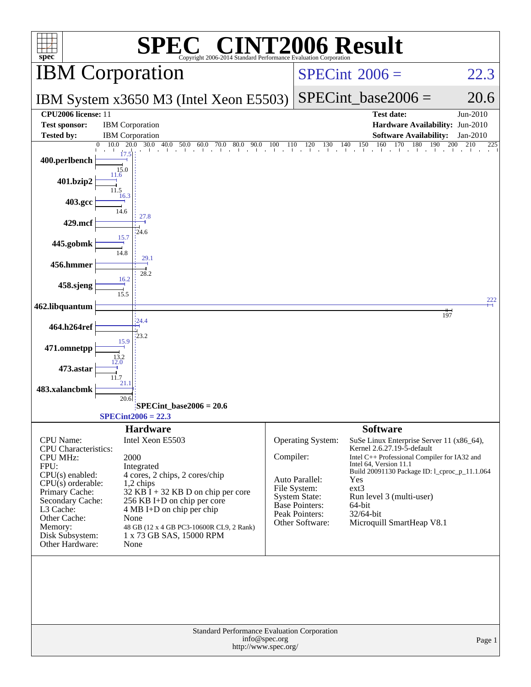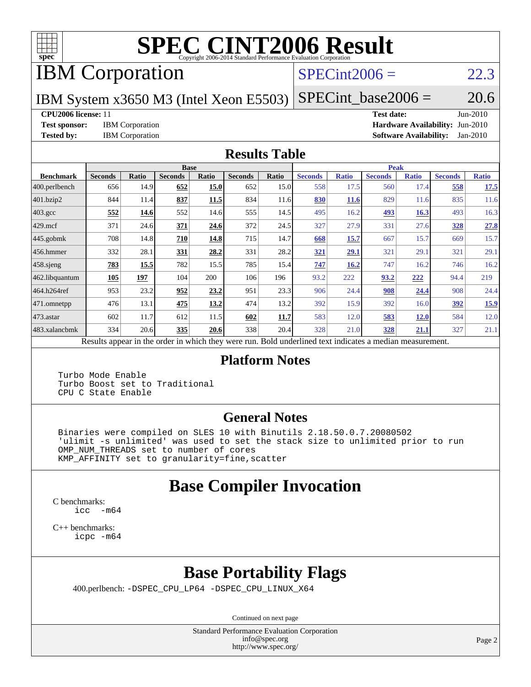

# **[SPEC CINT2006 Result](http://www.spec.org/auto/cpu2006/Docs/result-fields.html#SPECCINT2006Result)**

## IBM Corporation

#### $SPECint2006 = 22.3$  $SPECint2006 = 22.3$

IBM System x3650 M3 (Intel Xeon E5503)  $SPECTnt\_base2006 = 20.6$ 

**[Tested by:](http://www.spec.org/auto/cpu2006/Docs/result-fields.html#Testedby)** IBM Corporation **[Software Availability:](http://www.spec.org/auto/cpu2006/Docs/result-fields.html#SoftwareAvailability)** Jan-2010

**[CPU2006 license:](http://www.spec.org/auto/cpu2006/Docs/result-fields.html#CPU2006license)** 11 **[Test date:](http://www.spec.org/auto/cpu2006/Docs/result-fields.html#Testdate)** Jun-2010 **[Test sponsor:](http://www.spec.org/auto/cpu2006/Docs/result-fields.html#Testsponsor)** IBM Corporation **[Hardware Availability:](http://www.spec.org/auto/cpu2006/Docs/result-fields.html#HardwareAvailability)** Jun-2010

#### **[Results Table](http://www.spec.org/auto/cpu2006/Docs/result-fields.html#ResultsTable)**

|                    |                |       |                | <b>Base</b>  |                |              |                |              | <b>Peak</b>    |              |                |              |
|--------------------|----------------|-------|----------------|--------------|----------------|--------------|----------------|--------------|----------------|--------------|----------------|--------------|
| <b>Benchmark</b>   | <b>Seconds</b> | Ratio | <b>Seconds</b> | <b>Ratio</b> | <b>Seconds</b> | <b>Ratio</b> | <b>Seconds</b> | <b>Ratio</b> | <b>Seconds</b> | <b>Ratio</b> | <b>Seconds</b> | <b>Ratio</b> |
| 400.perlbench      | 656            | 14.9  | 652            | 15.0         | 652            | 15.0         | 558            | 17.5         | 560            | 17.4         | 558            | 17.5         |
| 401.bzip2          | 844            | 11.4  | 837            | 11.5         | 834            | 11.6         | 830            | <b>11.6</b>  | 829            | 11.6         | 835            | 11.6         |
| $403.\mathrm{gcc}$ | 552            | 14.6  | 552            | 14.6         | 555            | 14.5         | 495            | 16.2         | 493            | 16.3         | 493            | 16.3         |
| $429$ .mcf         | 371            | 24.6  | 371            | 24.6         | 372            | 24.5         | 327            | 27.9         | 331            | 27.6         | <u>328</u>     | 27.8         |
| $445$ .gobmk       | 708            | 14.8  | 710            | 14.8         | 715            | 14.7         | 668            | 15.7         | 667            | 15.7         | 669            | 15.7         |
| 456.hmmer          | 332            | 28.1  | 331            | 28.2         | 331            | 28.2         | 321            | 29.1         | 321            | 29.1         | 321            | 29.1         |
| $458$ .sjeng       | 783            | 15.5  | 782            | 15.5         | 785            | 15.4         | 747            | 16.2         | 747            | 16.2         | 746            | 16.2         |
| 462.libquantum     | 105            | 197   | 104            | 200          | 106            | 196          | 93.2           | 222          | 93.2           | 222          | 94.4           | 219          |
| 464.h264ref        | 953            | 23.2  | 952            | 23.2         | 951            | 23.3         | 906            | 24.4         | 908            | 24.4         | 908            | 24.4         |
| 471.omnetpp        | 476            | 13.1  | 475            | 13.2         | 474            | 13.2         | 392            | 15.9         | 392            | 16.0         | <u>392</u>     | 15.9         |
| $473$ . astar      | 602            | 11.7  | 612            | 11.5         | 602            | 11.7         | 583            | 12.0         | 583            | <u>12.0</u>  | 584            | 12.0         |
| 483.xalancbmk      | 334            | 20.6  | 335            | 20.6         | 338            | 20.4         | 328            | 21.0         | 328            | <u>21.1</u>  | 327            | 21.1         |
| D.                 | $\mathbf{1}$   |       |                | 1.1.1        |                | T11          | $1 \quad 1$    | $\mathbf{1}$ | $\cdot$        |              |                |              |

Results appear in the [order in which they were run.](http://www.spec.org/auto/cpu2006/Docs/result-fields.html#RunOrder) Bold underlined text [indicates a median measurement.](http://www.spec.org/auto/cpu2006/Docs/result-fields.html#Median)

#### **[Platform Notes](http://www.spec.org/auto/cpu2006/Docs/result-fields.html#PlatformNotes)**

 Turbo Mode Enable Turbo Boost set to Traditional CPU C State Enable

#### **[General Notes](http://www.spec.org/auto/cpu2006/Docs/result-fields.html#GeneralNotes)**

 Binaries were compiled on SLES 10 with Binutils 2.18.50.0.7.20080502 'ulimit -s unlimited' was used to set the stack size to unlimited prior to run OMP\_NUM\_THREADS set to number of cores KMP\_AFFINITY set to granularity=fine,scatter

### **[Base Compiler Invocation](http://www.spec.org/auto/cpu2006/Docs/result-fields.html#BaseCompilerInvocation)**

[C benchmarks](http://www.spec.org/auto/cpu2006/Docs/result-fields.html#Cbenchmarks): [icc -m64](http://www.spec.org/cpu2006/results/res2010q3/cpu2006-20100719-12545.flags.html#user_CCbase_intel_icc_64bit_f346026e86af2a669e726fe758c88044)

[C++ benchmarks:](http://www.spec.org/auto/cpu2006/Docs/result-fields.html#CXXbenchmarks) [icpc -m64](http://www.spec.org/cpu2006/results/res2010q3/cpu2006-20100719-12545.flags.html#user_CXXbase_intel_icpc_64bit_fc66a5337ce925472a5c54ad6a0de310)

## **[Base Portability Flags](http://www.spec.org/auto/cpu2006/Docs/result-fields.html#BasePortabilityFlags)**

400.perlbench: [-DSPEC\\_CPU\\_LP64](http://www.spec.org/cpu2006/results/res2010q3/cpu2006-20100719-12545.flags.html#b400.perlbench_basePORTABILITY_DSPEC_CPU_LP64) [-DSPEC\\_CPU\\_LINUX\\_X64](http://www.spec.org/cpu2006/results/res2010q3/cpu2006-20100719-12545.flags.html#b400.perlbench_baseCPORTABILITY_DSPEC_CPU_LINUX_X64)

Continued on next page

Standard Performance Evaluation Corporation [info@spec.org](mailto:info@spec.org) <http://www.spec.org/>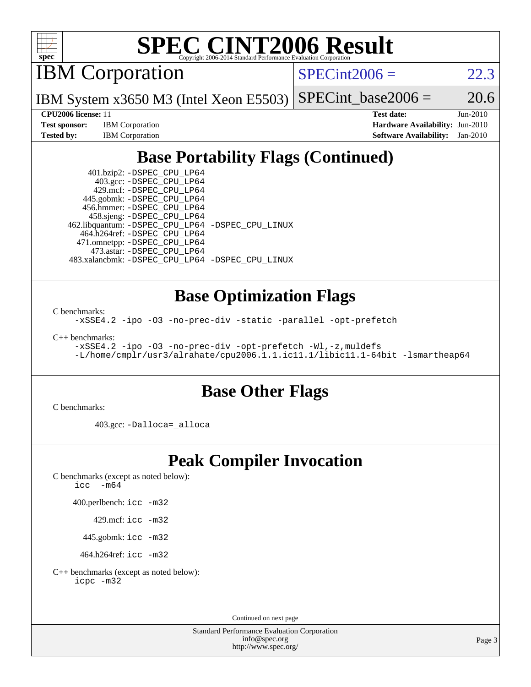

# **[SPEC CINT2006 Result](http://www.spec.org/auto/cpu2006/Docs/result-fields.html#SPECCINT2006Result)**

IBM Corporation

 $SPECint2006 = 22.3$  $SPECint2006 = 22.3$ 

IBM System x3650 M3 (Intel Xeon E5503)  $SPECTnt\_base2006 = 20.6$ 

**[Tested by:](http://www.spec.org/auto/cpu2006/Docs/result-fields.html#Testedby)** IBM Corporation **[Software Availability:](http://www.spec.org/auto/cpu2006/Docs/result-fields.html#SoftwareAvailability)** Jan-2010

**[CPU2006 license:](http://www.spec.org/auto/cpu2006/Docs/result-fields.html#CPU2006license)** 11 **[Test date:](http://www.spec.org/auto/cpu2006/Docs/result-fields.html#Testdate)** Jun-2010 **[Test sponsor:](http://www.spec.org/auto/cpu2006/Docs/result-fields.html#Testsponsor)** IBM Corporation **[Hardware Availability:](http://www.spec.org/auto/cpu2006/Docs/result-fields.html#HardwareAvailability)** Jun-2010

## **[Base Portability Flags \(Continued\)](http://www.spec.org/auto/cpu2006/Docs/result-fields.html#BasePortabilityFlags)**

 401.bzip2: [-DSPEC\\_CPU\\_LP64](http://www.spec.org/cpu2006/results/res2010q3/cpu2006-20100719-12545.flags.html#suite_basePORTABILITY401_bzip2_DSPEC_CPU_LP64) 403.gcc: [-DSPEC\\_CPU\\_LP64](http://www.spec.org/cpu2006/results/res2010q3/cpu2006-20100719-12545.flags.html#suite_basePORTABILITY403_gcc_DSPEC_CPU_LP64) 429.mcf: [-DSPEC\\_CPU\\_LP64](http://www.spec.org/cpu2006/results/res2010q3/cpu2006-20100719-12545.flags.html#suite_basePORTABILITY429_mcf_DSPEC_CPU_LP64) 445.gobmk: [-DSPEC\\_CPU\\_LP64](http://www.spec.org/cpu2006/results/res2010q3/cpu2006-20100719-12545.flags.html#suite_basePORTABILITY445_gobmk_DSPEC_CPU_LP64) 456.hmmer: [-DSPEC\\_CPU\\_LP64](http://www.spec.org/cpu2006/results/res2010q3/cpu2006-20100719-12545.flags.html#suite_basePORTABILITY456_hmmer_DSPEC_CPU_LP64) 458.sjeng: [-DSPEC\\_CPU\\_LP64](http://www.spec.org/cpu2006/results/res2010q3/cpu2006-20100719-12545.flags.html#suite_basePORTABILITY458_sjeng_DSPEC_CPU_LP64) 462.libquantum: [-DSPEC\\_CPU\\_LP64](http://www.spec.org/cpu2006/results/res2010q3/cpu2006-20100719-12545.flags.html#suite_basePORTABILITY462_libquantum_DSPEC_CPU_LP64) [-DSPEC\\_CPU\\_LINUX](http://www.spec.org/cpu2006/results/res2010q3/cpu2006-20100719-12545.flags.html#b462.libquantum_baseCPORTABILITY_DSPEC_CPU_LINUX) 464.h264ref: [-DSPEC\\_CPU\\_LP64](http://www.spec.org/cpu2006/results/res2010q3/cpu2006-20100719-12545.flags.html#suite_basePORTABILITY464_h264ref_DSPEC_CPU_LP64) 471.omnetpp: [-DSPEC\\_CPU\\_LP64](http://www.spec.org/cpu2006/results/res2010q3/cpu2006-20100719-12545.flags.html#suite_basePORTABILITY471_omnetpp_DSPEC_CPU_LP64) 473.astar: [-DSPEC\\_CPU\\_LP64](http://www.spec.org/cpu2006/results/res2010q3/cpu2006-20100719-12545.flags.html#suite_basePORTABILITY473_astar_DSPEC_CPU_LP64) 483.xalancbmk: [-DSPEC\\_CPU\\_LP64](http://www.spec.org/cpu2006/results/res2010q3/cpu2006-20100719-12545.flags.html#suite_basePORTABILITY483_xalancbmk_DSPEC_CPU_LP64) [-DSPEC\\_CPU\\_LINUX](http://www.spec.org/cpu2006/results/res2010q3/cpu2006-20100719-12545.flags.html#b483.xalancbmk_baseCXXPORTABILITY_DSPEC_CPU_LINUX)

#### **[Base Optimization Flags](http://www.spec.org/auto/cpu2006/Docs/result-fields.html#BaseOptimizationFlags)**

[C benchmarks](http://www.spec.org/auto/cpu2006/Docs/result-fields.html#Cbenchmarks):

[-xSSE4.2](http://www.spec.org/cpu2006/results/res2010q3/cpu2006-20100719-12545.flags.html#user_CCbase_f-xSSE42_f91528193cf0b216347adb8b939d4107) [-ipo](http://www.spec.org/cpu2006/results/res2010q3/cpu2006-20100719-12545.flags.html#user_CCbase_f-ipo) [-O3](http://www.spec.org/cpu2006/results/res2010q3/cpu2006-20100719-12545.flags.html#user_CCbase_f-O3) [-no-prec-div](http://www.spec.org/cpu2006/results/res2010q3/cpu2006-20100719-12545.flags.html#user_CCbase_f-no-prec-div) [-static](http://www.spec.org/cpu2006/results/res2010q3/cpu2006-20100719-12545.flags.html#user_CCbase_f-static) [-parallel](http://www.spec.org/cpu2006/results/res2010q3/cpu2006-20100719-12545.flags.html#user_CCbase_f-parallel) [-opt-prefetch](http://www.spec.org/cpu2006/results/res2010q3/cpu2006-20100719-12545.flags.html#user_CCbase_f-opt-prefetch)

[C++ benchmarks:](http://www.spec.org/auto/cpu2006/Docs/result-fields.html#CXXbenchmarks)

[-xSSE4.2](http://www.spec.org/cpu2006/results/res2010q3/cpu2006-20100719-12545.flags.html#user_CXXbase_f-xSSE42_f91528193cf0b216347adb8b939d4107) [-ipo](http://www.spec.org/cpu2006/results/res2010q3/cpu2006-20100719-12545.flags.html#user_CXXbase_f-ipo) [-O3](http://www.spec.org/cpu2006/results/res2010q3/cpu2006-20100719-12545.flags.html#user_CXXbase_f-O3) [-no-prec-div](http://www.spec.org/cpu2006/results/res2010q3/cpu2006-20100719-12545.flags.html#user_CXXbase_f-no-prec-div) [-opt-prefetch](http://www.spec.org/cpu2006/results/res2010q3/cpu2006-20100719-12545.flags.html#user_CXXbase_f-opt-prefetch) [-Wl,-z,muldefs](http://www.spec.org/cpu2006/results/res2010q3/cpu2006-20100719-12545.flags.html#user_CXXbase_link_force_multiple1_74079c344b956b9658436fd1b6dd3a8a) [-L/home/cmplr/usr3/alrahate/cpu2006.1.1.ic11.1/libic11.1-64bit -lsmartheap64](http://www.spec.org/cpu2006/results/res2010q3/cpu2006-20100719-12545.flags.html#user_CXXbase_SmartHeap64_e2306cda84805d1ab360117a79ff779c)

#### **[Base Other Flags](http://www.spec.org/auto/cpu2006/Docs/result-fields.html#BaseOtherFlags)**

[C benchmarks](http://www.spec.org/auto/cpu2006/Docs/result-fields.html#Cbenchmarks):

403.gcc: [-Dalloca=\\_alloca](http://www.spec.org/cpu2006/results/res2010q3/cpu2006-20100719-12545.flags.html#b403.gcc_baseEXTRA_CFLAGS_Dalloca_be3056838c12de2578596ca5467af7f3)

#### **[Peak Compiler Invocation](http://www.spec.org/auto/cpu2006/Docs/result-fields.html#PeakCompilerInvocation)**

[C benchmarks \(except as noted below\)](http://www.spec.org/auto/cpu2006/Docs/result-fields.html#Cbenchmarksexceptasnotedbelow): [icc -m64](http://www.spec.org/cpu2006/results/res2010q3/cpu2006-20100719-12545.flags.html#user_CCpeak_intel_icc_64bit_f346026e86af2a669e726fe758c88044)

400.perlbench: [icc -m32](http://www.spec.org/cpu2006/results/res2010q3/cpu2006-20100719-12545.flags.html#user_peakCCLD400_perlbench_intel_icc_32bit_a6a621f8d50482236b970c6ac5f55f93)

429.mcf: [icc -m32](http://www.spec.org/cpu2006/results/res2010q3/cpu2006-20100719-12545.flags.html#user_peakCCLD429_mcf_intel_icc_32bit_a6a621f8d50482236b970c6ac5f55f93)

445.gobmk: [icc -m32](http://www.spec.org/cpu2006/results/res2010q3/cpu2006-20100719-12545.flags.html#user_peakCCLD445_gobmk_intel_icc_32bit_a6a621f8d50482236b970c6ac5f55f93)

464.h264ref: [icc -m32](http://www.spec.org/cpu2006/results/res2010q3/cpu2006-20100719-12545.flags.html#user_peakCCLD464_h264ref_intel_icc_32bit_a6a621f8d50482236b970c6ac5f55f93)

[C++ benchmarks \(except as noted below\):](http://www.spec.org/auto/cpu2006/Docs/result-fields.html#CXXbenchmarksexceptasnotedbelow) [icpc -m32](http://www.spec.org/cpu2006/results/res2010q3/cpu2006-20100719-12545.flags.html#user_CXXpeak_intel_icpc_32bit_4e5a5ef1a53fd332b3c49e69c3330699)

Continued on next page

Standard Performance Evaluation Corporation [info@spec.org](mailto:info@spec.org) <http://www.spec.org/>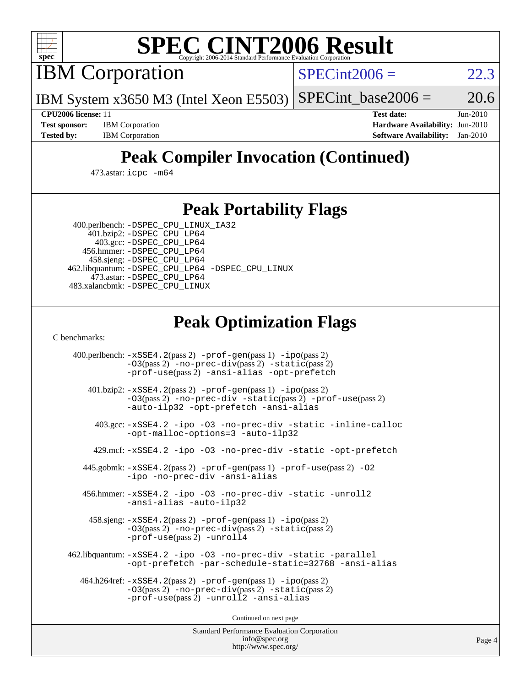

# **[SPEC CINT2006 Result](http://www.spec.org/auto/cpu2006/Docs/result-fields.html#SPECCINT2006Result)**

IBM Corporation

 $SPECint2006 = 22.3$  $SPECint2006 = 22.3$ 

IBM System x3650 M3 (Intel Xeon E5503)  $SPECTnt\_base2006 = 20.6$ 

**[Test sponsor:](http://www.spec.org/auto/cpu2006/Docs/result-fields.html#Testsponsor)** IBM Corporation **[Hardware Availability:](http://www.spec.org/auto/cpu2006/Docs/result-fields.html#HardwareAvailability)** Jun-2010

**[CPU2006 license:](http://www.spec.org/auto/cpu2006/Docs/result-fields.html#CPU2006license)** 11 **[Test date:](http://www.spec.org/auto/cpu2006/Docs/result-fields.html#Testdate)** Jun-2010 **[Tested by:](http://www.spec.org/auto/cpu2006/Docs/result-fields.html#Testedby)** IBM Corporation **[Software Availability:](http://www.spec.org/auto/cpu2006/Docs/result-fields.html#SoftwareAvailability)** Jan-2010

## **[Peak Compiler Invocation \(Continued\)](http://www.spec.org/auto/cpu2006/Docs/result-fields.html#PeakCompilerInvocation)**

473.astar: [icpc -m64](http://www.spec.org/cpu2006/results/res2010q3/cpu2006-20100719-12545.flags.html#user_peakCXXLD473_astar_intel_icpc_64bit_fc66a5337ce925472a5c54ad6a0de310)

#### **[Peak Portability Flags](http://www.spec.org/auto/cpu2006/Docs/result-fields.html#PeakPortabilityFlags)**

 400.perlbench: [-DSPEC\\_CPU\\_LINUX\\_IA32](http://www.spec.org/cpu2006/results/res2010q3/cpu2006-20100719-12545.flags.html#b400.perlbench_peakCPORTABILITY_DSPEC_CPU_LINUX_IA32) 401.bzip2: [-DSPEC\\_CPU\\_LP64](http://www.spec.org/cpu2006/results/res2010q3/cpu2006-20100719-12545.flags.html#suite_peakPORTABILITY401_bzip2_DSPEC_CPU_LP64)

 403.gcc: [-DSPEC\\_CPU\\_LP64](http://www.spec.org/cpu2006/results/res2010q3/cpu2006-20100719-12545.flags.html#suite_peakPORTABILITY403_gcc_DSPEC_CPU_LP64) 456.hmmer: [-DSPEC\\_CPU\\_LP64](http://www.spec.org/cpu2006/results/res2010q3/cpu2006-20100719-12545.flags.html#suite_peakPORTABILITY456_hmmer_DSPEC_CPU_LP64) 458.sjeng: [-DSPEC\\_CPU\\_LP64](http://www.spec.org/cpu2006/results/res2010q3/cpu2006-20100719-12545.flags.html#suite_peakPORTABILITY458_sjeng_DSPEC_CPU_LP64) 462.libquantum: [-DSPEC\\_CPU\\_LP64](http://www.spec.org/cpu2006/results/res2010q3/cpu2006-20100719-12545.flags.html#suite_peakPORTABILITY462_libquantum_DSPEC_CPU_LP64) [-DSPEC\\_CPU\\_LINUX](http://www.spec.org/cpu2006/results/res2010q3/cpu2006-20100719-12545.flags.html#b462.libquantum_peakCPORTABILITY_DSPEC_CPU_LINUX) 473.astar: [-DSPEC\\_CPU\\_LP64](http://www.spec.org/cpu2006/results/res2010q3/cpu2006-20100719-12545.flags.html#suite_peakPORTABILITY473_astar_DSPEC_CPU_LP64) 483.xalancbmk: [-DSPEC\\_CPU\\_LINUX](http://www.spec.org/cpu2006/results/res2010q3/cpu2006-20100719-12545.flags.html#b483.xalancbmk_peakCXXPORTABILITY_DSPEC_CPU_LINUX)

#### **[Peak Optimization Flags](http://www.spec.org/auto/cpu2006/Docs/result-fields.html#PeakOptimizationFlags)**

[C benchmarks](http://www.spec.org/auto/cpu2006/Docs/result-fields.html#Cbenchmarks):

 400.perlbench: [-xSSE4.2](http://www.spec.org/cpu2006/results/res2010q3/cpu2006-20100719-12545.flags.html#user_peakPASS2_CFLAGSPASS2_LDCFLAGS400_perlbench_f-xSSE42_f91528193cf0b216347adb8b939d4107)(pass 2) [-prof-gen](http://www.spec.org/cpu2006/results/res2010q3/cpu2006-20100719-12545.flags.html#user_peakPASS1_CFLAGSPASS1_LDCFLAGS400_perlbench_prof_gen_e43856698f6ca7b7e442dfd80e94a8fc)(pass 1) [-ipo](http://www.spec.org/cpu2006/results/res2010q3/cpu2006-20100719-12545.flags.html#user_peakPASS2_CFLAGSPASS2_LDCFLAGS400_perlbench_f-ipo)(pass 2) [-O3](http://www.spec.org/cpu2006/results/res2010q3/cpu2006-20100719-12545.flags.html#user_peakPASS2_CFLAGSPASS2_LDCFLAGS400_perlbench_f-O3)(pass 2) [-no-prec-div](http://www.spec.org/cpu2006/results/res2010q3/cpu2006-20100719-12545.flags.html#user_peakPASS2_CFLAGSPASS2_LDCFLAGS400_perlbench_f-no-prec-div)(pass 2) [-static](http://www.spec.org/cpu2006/results/res2010q3/cpu2006-20100719-12545.flags.html#user_peakPASS2_CFLAGSPASS2_LDCFLAGS400_perlbench_f-static)(pass 2) [-prof-use](http://www.spec.org/cpu2006/results/res2010q3/cpu2006-20100719-12545.flags.html#user_peakPASS2_CFLAGSPASS2_LDCFLAGS400_perlbench_prof_use_bccf7792157ff70d64e32fe3e1250b55)(pass 2) [-ansi-alias](http://www.spec.org/cpu2006/results/res2010q3/cpu2006-20100719-12545.flags.html#user_peakCOPTIMIZE400_perlbench_f-ansi-alias) [-opt-prefetch](http://www.spec.org/cpu2006/results/res2010q3/cpu2006-20100719-12545.flags.html#user_peakCOPTIMIZE400_perlbench_f-opt-prefetch) 401.bzip2: [-xSSE4.2](http://www.spec.org/cpu2006/results/res2010q3/cpu2006-20100719-12545.flags.html#user_peakPASS2_CFLAGSPASS2_LDCFLAGS401_bzip2_f-xSSE42_f91528193cf0b216347adb8b939d4107)(pass 2) [-prof-gen](http://www.spec.org/cpu2006/results/res2010q3/cpu2006-20100719-12545.flags.html#user_peakPASS1_CFLAGSPASS1_LDCFLAGS401_bzip2_prof_gen_e43856698f6ca7b7e442dfd80e94a8fc)(pass 1) [-ipo](http://www.spec.org/cpu2006/results/res2010q3/cpu2006-20100719-12545.flags.html#user_peakPASS2_CFLAGSPASS2_LDCFLAGS401_bzip2_f-ipo)(pass 2) [-O3](http://www.spec.org/cpu2006/results/res2010q3/cpu2006-20100719-12545.flags.html#user_peakPASS2_CFLAGSPASS2_LDCFLAGS401_bzip2_f-O3)(pass 2) [-no-prec-div](http://www.spec.org/cpu2006/results/res2010q3/cpu2006-20100719-12545.flags.html#user_peakCOPTIMIZEPASS2_CFLAGSPASS2_LDCFLAGS401_bzip2_f-no-prec-div) [-static](http://www.spec.org/cpu2006/results/res2010q3/cpu2006-20100719-12545.flags.html#user_peakPASS2_CFLAGSPASS2_LDCFLAGS401_bzip2_f-static)(pass 2) [-prof-use](http://www.spec.org/cpu2006/results/res2010q3/cpu2006-20100719-12545.flags.html#user_peakPASS2_CFLAGSPASS2_LDCFLAGS401_bzip2_prof_use_bccf7792157ff70d64e32fe3e1250b55)(pass 2) [-auto-ilp32](http://www.spec.org/cpu2006/results/res2010q3/cpu2006-20100719-12545.flags.html#user_peakCOPTIMIZE401_bzip2_f-auto-ilp32) [-opt-prefetch](http://www.spec.org/cpu2006/results/res2010q3/cpu2006-20100719-12545.flags.html#user_peakCOPTIMIZE401_bzip2_f-opt-prefetch) [-ansi-alias](http://www.spec.org/cpu2006/results/res2010q3/cpu2006-20100719-12545.flags.html#user_peakCOPTIMIZE401_bzip2_f-ansi-alias) 403.gcc: [-xSSE4.2](http://www.spec.org/cpu2006/results/res2010q3/cpu2006-20100719-12545.flags.html#user_peakCOPTIMIZE403_gcc_f-xSSE42_f91528193cf0b216347adb8b939d4107) [-ipo](http://www.spec.org/cpu2006/results/res2010q3/cpu2006-20100719-12545.flags.html#user_peakCOPTIMIZE403_gcc_f-ipo) [-O3](http://www.spec.org/cpu2006/results/res2010q3/cpu2006-20100719-12545.flags.html#user_peakCOPTIMIZE403_gcc_f-O3) [-no-prec-div](http://www.spec.org/cpu2006/results/res2010q3/cpu2006-20100719-12545.flags.html#user_peakCOPTIMIZE403_gcc_f-no-prec-div) [-static](http://www.spec.org/cpu2006/results/res2010q3/cpu2006-20100719-12545.flags.html#user_peakCOPTIMIZE403_gcc_f-static) [-inline-calloc](http://www.spec.org/cpu2006/results/res2010q3/cpu2006-20100719-12545.flags.html#user_peakCOPTIMIZE403_gcc_f-inline-calloc) [-opt-malloc-options=3](http://www.spec.org/cpu2006/results/res2010q3/cpu2006-20100719-12545.flags.html#user_peakCOPTIMIZE403_gcc_f-opt-malloc-options_13ab9b803cf986b4ee62f0a5998c2238) [-auto-ilp32](http://www.spec.org/cpu2006/results/res2010q3/cpu2006-20100719-12545.flags.html#user_peakCOPTIMIZE403_gcc_f-auto-ilp32) 429.mcf: [-xSSE4.2](http://www.spec.org/cpu2006/results/res2010q3/cpu2006-20100719-12545.flags.html#user_peakCOPTIMIZE429_mcf_f-xSSE42_f91528193cf0b216347adb8b939d4107) [-ipo](http://www.spec.org/cpu2006/results/res2010q3/cpu2006-20100719-12545.flags.html#user_peakCOPTIMIZE429_mcf_f-ipo) [-O3](http://www.spec.org/cpu2006/results/res2010q3/cpu2006-20100719-12545.flags.html#user_peakCOPTIMIZE429_mcf_f-O3) [-no-prec-div](http://www.spec.org/cpu2006/results/res2010q3/cpu2006-20100719-12545.flags.html#user_peakCOPTIMIZE429_mcf_f-no-prec-div) [-static](http://www.spec.org/cpu2006/results/res2010q3/cpu2006-20100719-12545.flags.html#user_peakCOPTIMIZE429_mcf_f-static) [-opt-prefetch](http://www.spec.org/cpu2006/results/res2010q3/cpu2006-20100719-12545.flags.html#user_peakCOPTIMIZE429_mcf_f-opt-prefetch) 445.gobmk: [-xSSE4.2](http://www.spec.org/cpu2006/results/res2010q3/cpu2006-20100719-12545.flags.html#user_peakPASS2_CFLAGSPASS2_LDCFLAGS445_gobmk_f-xSSE42_f91528193cf0b216347adb8b939d4107)(pass 2) [-prof-gen](http://www.spec.org/cpu2006/results/res2010q3/cpu2006-20100719-12545.flags.html#user_peakPASS1_CFLAGSPASS1_LDCFLAGS445_gobmk_prof_gen_e43856698f6ca7b7e442dfd80e94a8fc)(pass 1) [-prof-use](http://www.spec.org/cpu2006/results/res2010q3/cpu2006-20100719-12545.flags.html#user_peakPASS2_CFLAGSPASS2_LDCFLAGS445_gobmk_prof_use_bccf7792157ff70d64e32fe3e1250b55)(pass 2) [-O2](http://www.spec.org/cpu2006/results/res2010q3/cpu2006-20100719-12545.flags.html#user_peakCOPTIMIZE445_gobmk_f-O2) [-ipo](http://www.spec.org/cpu2006/results/res2010q3/cpu2006-20100719-12545.flags.html#user_peakCOPTIMIZE445_gobmk_f-ipo) [-no-prec-div](http://www.spec.org/cpu2006/results/res2010q3/cpu2006-20100719-12545.flags.html#user_peakCOPTIMIZE445_gobmk_f-no-prec-div) [-ansi-alias](http://www.spec.org/cpu2006/results/res2010q3/cpu2006-20100719-12545.flags.html#user_peakCOPTIMIZE445_gobmk_f-ansi-alias) 456.hmmer: [-xSSE4.2](http://www.spec.org/cpu2006/results/res2010q3/cpu2006-20100719-12545.flags.html#user_peakCOPTIMIZE456_hmmer_f-xSSE42_f91528193cf0b216347adb8b939d4107) [-ipo](http://www.spec.org/cpu2006/results/res2010q3/cpu2006-20100719-12545.flags.html#user_peakCOPTIMIZE456_hmmer_f-ipo) [-O3](http://www.spec.org/cpu2006/results/res2010q3/cpu2006-20100719-12545.flags.html#user_peakCOPTIMIZE456_hmmer_f-O3) [-no-prec-div](http://www.spec.org/cpu2006/results/res2010q3/cpu2006-20100719-12545.flags.html#user_peakCOPTIMIZE456_hmmer_f-no-prec-div) [-static](http://www.spec.org/cpu2006/results/res2010q3/cpu2006-20100719-12545.flags.html#user_peakCOPTIMIZE456_hmmer_f-static) [-unroll2](http://www.spec.org/cpu2006/results/res2010q3/cpu2006-20100719-12545.flags.html#user_peakCOPTIMIZE456_hmmer_f-unroll_784dae83bebfb236979b41d2422d7ec2) [-ansi-alias](http://www.spec.org/cpu2006/results/res2010q3/cpu2006-20100719-12545.flags.html#user_peakCOPTIMIZE456_hmmer_f-ansi-alias) [-auto-ilp32](http://www.spec.org/cpu2006/results/res2010q3/cpu2006-20100719-12545.flags.html#user_peakCOPTIMIZE456_hmmer_f-auto-ilp32) 458.sjeng: [-xSSE4.2](http://www.spec.org/cpu2006/results/res2010q3/cpu2006-20100719-12545.flags.html#user_peakPASS2_CFLAGSPASS2_LDCFLAGS458_sjeng_f-xSSE42_f91528193cf0b216347adb8b939d4107)(pass 2) [-prof-gen](http://www.spec.org/cpu2006/results/res2010q3/cpu2006-20100719-12545.flags.html#user_peakPASS1_CFLAGSPASS1_LDCFLAGS458_sjeng_prof_gen_e43856698f6ca7b7e442dfd80e94a8fc)(pass 1) [-ipo](http://www.spec.org/cpu2006/results/res2010q3/cpu2006-20100719-12545.flags.html#user_peakPASS2_CFLAGSPASS2_LDCFLAGS458_sjeng_f-ipo)(pass 2) [-O3](http://www.spec.org/cpu2006/results/res2010q3/cpu2006-20100719-12545.flags.html#user_peakPASS2_CFLAGSPASS2_LDCFLAGS458_sjeng_f-O3)(pass 2) [-no-prec-div](http://www.spec.org/cpu2006/results/res2010q3/cpu2006-20100719-12545.flags.html#user_peakPASS2_CFLAGSPASS2_LDCFLAGS458_sjeng_f-no-prec-div)(pass 2) [-static](http://www.spec.org/cpu2006/results/res2010q3/cpu2006-20100719-12545.flags.html#user_peakPASS2_CFLAGSPASS2_LDCFLAGS458_sjeng_f-static)(pass 2) [-prof-use](http://www.spec.org/cpu2006/results/res2010q3/cpu2006-20100719-12545.flags.html#user_peakPASS2_CFLAGSPASS2_LDCFLAGS458_sjeng_prof_use_bccf7792157ff70d64e32fe3e1250b55)(pass 2) [-unroll4](http://www.spec.org/cpu2006/results/res2010q3/cpu2006-20100719-12545.flags.html#user_peakCOPTIMIZE458_sjeng_f-unroll_4e5e4ed65b7fd20bdcd365bec371b81f) 462.libquantum: [-xSSE4.2](http://www.spec.org/cpu2006/results/res2010q3/cpu2006-20100719-12545.flags.html#user_peakCOPTIMIZE462_libquantum_f-xSSE42_f91528193cf0b216347adb8b939d4107) [-ipo](http://www.spec.org/cpu2006/results/res2010q3/cpu2006-20100719-12545.flags.html#user_peakCOPTIMIZE462_libquantum_f-ipo) [-O3](http://www.spec.org/cpu2006/results/res2010q3/cpu2006-20100719-12545.flags.html#user_peakCOPTIMIZE462_libquantum_f-O3) [-no-prec-div](http://www.spec.org/cpu2006/results/res2010q3/cpu2006-20100719-12545.flags.html#user_peakCOPTIMIZE462_libquantum_f-no-prec-div) [-static](http://www.spec.org/cpu2006/results/res2010q3/cpu2006-20100719-12545.flags.html#user_peakCOPTIMIZE462_libquantum_f-static) [-parallel](http://www.spec.org/cpu2006/results/res2010q3/cpu2006-20100719-12545.flags.html#user_peakCOPTIMIZE462_libquantum_f-parallel) [-opt-prefetch](http://www.spec.org/cpu2006/results/res2010q3/cpu2006-20100719-12545.flags.html#user_peakCOPTIMIZE462_libquantum_f-opt-prefetch) [-par-schedule-static=32768](http://www.spec.org/cpu2006/results/res2010q3/cpu2006-20100719-12545.flags.html#user_peakCOPTIMIZE462_libquantum_f-par-schedule_9386bcd99ba64e99ee01d1aafefddd14) [-ansi-alias](http://www.spec.org/cpu2006/results/res2010q3/cpu2006-20100719-12545.flags.html#user_peakCOPTIMIZE462_libquantum_f-ansi-alias) 464.h264ref: [-xSSE4.2](http://www.spec.org/cpu2006/results/res2010q3/cpu2006-20100719-12545.flags.html#user_peakPASS2_CFLAGSPASS2_LDCFLAGS464_h264ref_f-xSSE42_f91528193cf0b216347adb8b939d4107)(pass 2) [-prof-gen](http://www.spec.org/cpu2006/results/res2010q3/cpu2006-20100719-12545.flags.html#user_peakPASS1_CFLAGSPASS1_LDCFLAGS464_h264ref_prof_gen_e43856698f6ca7b7e442dfd80e94a8fc)(pass 1) [-ipo](http://www.spec.org/cpu2006/results/res2010q3/cpu2006-20100719-12545.flags.html#user_peakPASS2_CFLAGSPASS2_LDCFLAGS464_h264ref_f-ipo)(pass 2) [-O3](http://www.spec.org/cpu2006/results/res2010q3/cpu2006-20100719-12545.flags.html#user_peakPASS2_CFLAGSPASS2_LDCFLAGS464_h264ref_f-O3)(pass 2) [-no-prec-div](http://www.spec.org/cpu2006/results/res2010q3/cpu2006-20100719-12545.flags.html#user_peakPASS2_CFLAGSPASS2_LDCFLAGS464_h264ref_f-no-prec-div)(pass 2) [-static](http://www.spec.org/cpu2006/results/res2010q3/cpu2006-20100719-12545.flags.html#user_peakPASS2_CFLAGSPASS2_LDCFLAGS464_h264ref_f-static)(pass 2) [-prof-use](http://www.spec.org/cpu2006/results/res2010q3/cpu2006-20100719-12545.flags.html#user_peakPASS2_CFLAGSPASS2_LDCFLAGS464_h264ref_prof_use_bccf7792157ff70d64e32fe3e1250b55)(pass 2) [-unroll2](http://www.spec.org/cpu2006/results/res2010q3/cpu2006-20100719-12545.flags.html#user_peakCOPTIMIZE464_h264ref_f-unroll_784dae83bebfb236979b41d2422d7ec2) [-ansi-alias](http://www.spec.org/cpu2006/results/res2010q3/cpu2006-20100719-12545.flags.html#user_peakCOPTIMIZE464_h264ref_f-ansi-alias)

Continued on next page

Standard Performance Evaluation Corporation [info@spec.org](mailto:info@spec.org) <http://www.spec.org/>